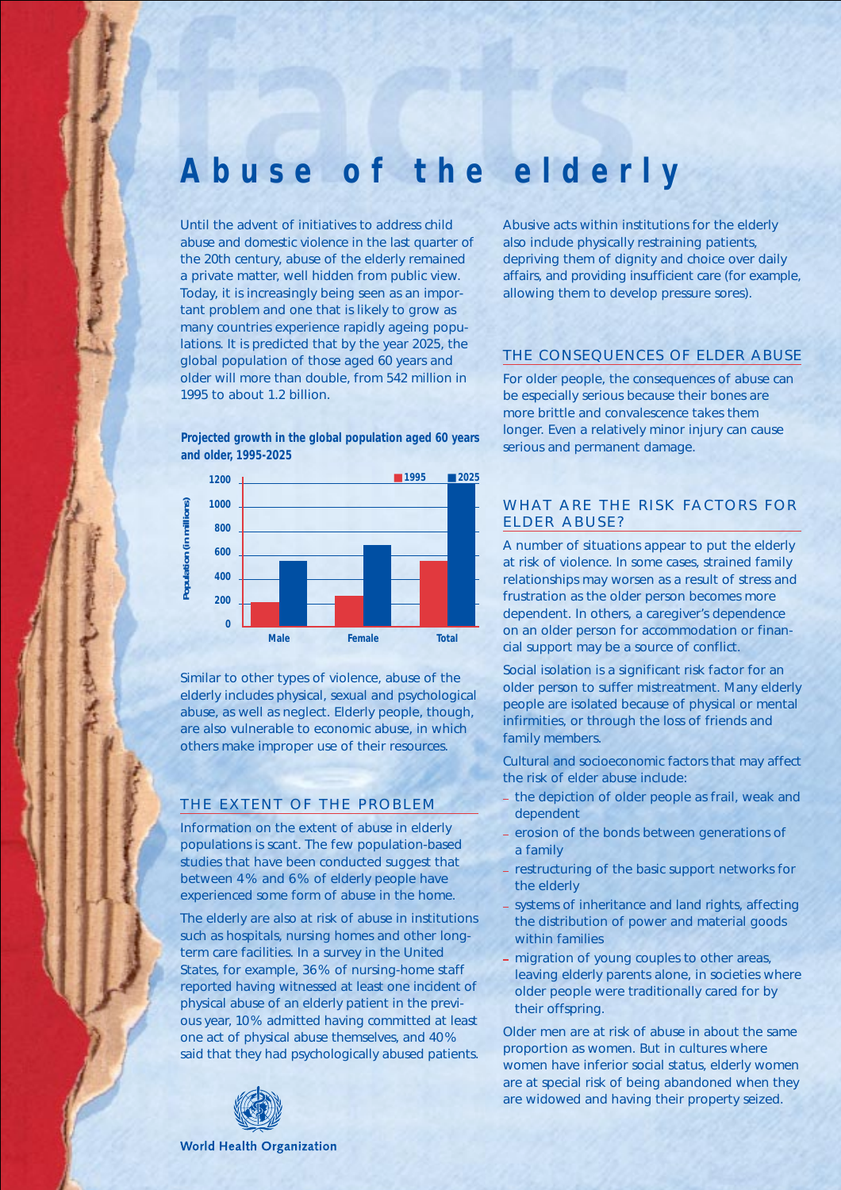# **Abuse of the elderly**

Until the advent of initiatives to address child abuse and domestic violence in the last quarter of the 20th century, abuse of the elderly remained a private matter, well hidden from public view. Today, it is increasingly being seen as an important problem and one that is likely to grow as many countries experience rapidly ageing populations. It is predicted that by the year 2025, the global population of those aged 60 years and older will more than double, from 542 million in 1995 to about 1.2 billion.

**Projected growth in the global population aged 60 years and older, 1995-2025**



Similar to other types of violence, abuse of the elderly includes physical, sexual and psychological abuse, as well as neglect. Elderly people, though, are also vulnerable to economic abuse, in which others make improper use of their resources.

## THE EXTENT OF THE PROBLEM

Information on the extent of abuse in elderly populations is scant. The few population-based studies that have been conducted suggest that between 4 % and 6 % of elderly people have experienced some form of abuse in the home.

The elderly are also at risk of abuse in institutions such as hospitals, nursing homes and other longterm care facilities. In a survey in the United States, for example, 36 % of nursing-home staff reported having witnessed at least one incident of physical abuse of an elderly patient in the previous year, 10% admitted having committed at least one act of physical abuse themselves, and 40% said that they had psychologically abused patients.



#### **World Health Organization**

Abusive acts within institutions for the elderly also include physically restraining patients, depriving them of dignity and choice over daily affairs, and providing insufficient care (for example, allowing them to develop pressure sores).

## THE CONSEQUENCES OF ELDER ABUSE

For older people, the consequences of abuse can be especially serious because their bones are more brittle and convalescence takes them longer. Even a relatively minor injury can cause serious and permanent damage.

## WHAT ARE THE RISK FACTORS FOR ELDER ABUSE?

A number of situations appear to put the elderly at risk of violence. In some cases, strained family relationships may worsen as a result of stress and frustration as the older person becomes more dependent. In others, a caregiver's dependence on an older person for accommodation or financial support may be a source of conflict.

Social isolation is a significant risk factor for an older person to suffer mistreatment. Many elderly people are isolated because of physical or mental infirmities, or through the loss of friends and family members.

Cultural and socioeconomic factors that may affect the risk of elder abuse include:

- the depiction of older people as frail, weak and dependent
- erosion of the bonds between generations of a family
- restructuring of the basic support networks for the elderly
- systems of inheritance and land rights, affecting the distribution of power and material goods within families
- migration of young couples to other areas, leaving elderly parents alone, in societies where older people were traditionally cared for by their offspring.

Older men are at risk of abuse in about the same proportion as women. But in cultures where women have inferior social status, elderly women are at special risk of being abandoned when they are widowed and having their property seized.